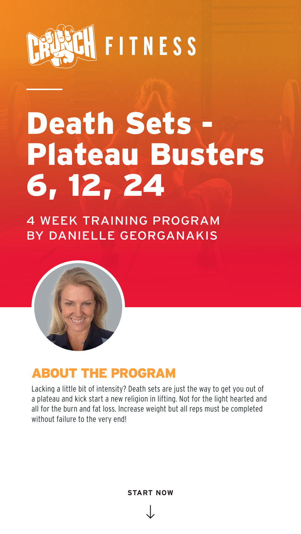4 WEEK TRAINING PROGRAM BY DANIELLE GEORGANAKIS





# Death Sets -Plateau Busters 6, 12, 24

**START NOW**

Lacking a little bit of intensity? Death sets are just the way to get you out of a plateau and kick start a new religion in lifting. Not for the light hearted and all for the burn and fat loss. Increase weight but all reps must be completed without failure to the very end!

### ABOUT THE PROGRAM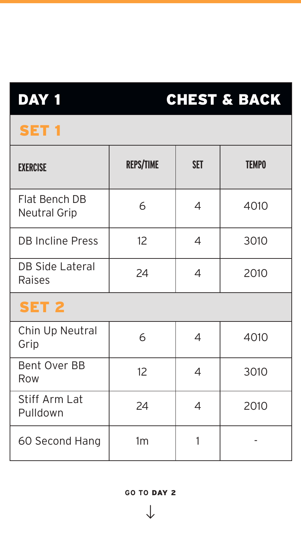| <b>EXERCISE</b>                             | <b>REPS/TIME</b>  | <b>SET</b> | <b>TEMPO</b> |
|---------------------------------------------|-------------------|------------|--------------|
| <b>Flat Bench DB</b><br><b>Neutral Grip</b> | 6                 |            | 4010         |
| <b>DB Incline Press</b>                     | 12                |            | 3010         |
| <b>DB Side Lateral</b><br><b>Raises</b>     | 24                |            | 2010         |
| SET 2                                       |                   |            |              |
| Chin Up Neutral<br>Grip                     | 6                 |            | 4010         |
| <b>Bent Over BB</b><br>Row                  | $12 \overline{ }$ |            | 3010         |
| Stiff Arm Lat<br>Pulldown                   | 24                |            | 2010         |
| 60 Second Hang                              | 1m                |            |              |

## DAY 1

## CHEST & BACK

### SET<sub>1</sub>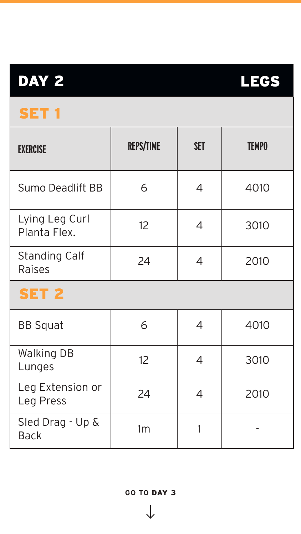$\sqrt{ }$ 

| <b>EXERCISE</b>                 | <b>REPS/TIME</b>  | <b>SET</b>           | <b>TEMPO</b> |  |
|---------------------------------|-------------------|----------------------|--------------|--|
| <b>Sumo Deadlift BB</b>         |                   | $\blacktriangle$     | 4010         |  |
| Lying Leg Curl<br>Planta Flex.  | 12 <sup>°</sup>   | $\blacktriangleleft$ | 3010         |  |
| <b>Standing Calf</b><br>Raises  | 24                | 4                    | 2010         |  |
| <b>SET 2</b>                    |                   |                      |              |  |
| <b>BB Squat</b>                 | 6                 | 4                    | 4010         |  |
| <b>Walking DB</b><br>Lunges     | $12 \overline{ }$ |                      | 3010         |  |
| Leg Extension or<br>Leg Press   | 24                |                      | 2010         |  |
| Sled Drag - Up &<br><b>Back</b> | 1 <sub>m</sub>    |                      |              |  |

# DAY 2



### SET 1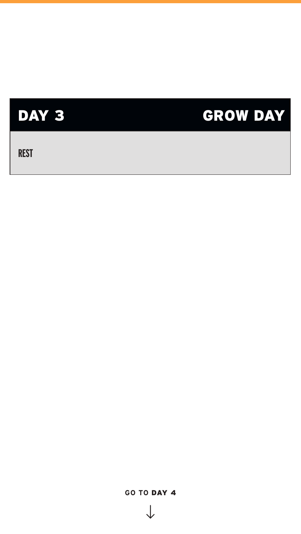

 **REST**

#### **GO TO** DAY 4

 $\sqrt{ }$ 

# GROW DAY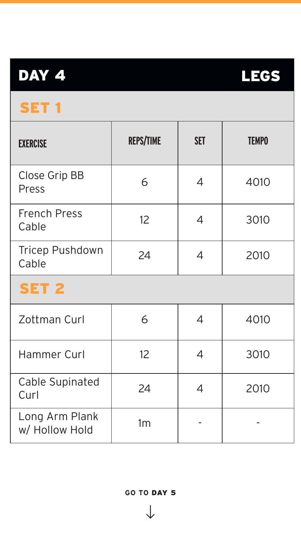$\sqrt{ }$ 

| DAY 4                                |                   |            | ECS          |  |  |
|--------------------------------------|-------------------|------------|--------------|--|--|
| <b>SET 1</b>                         |                   |            |              |  |  |
| <b>EXERCISE</b>                      | <b>REPS/TIME</b>  | <b>SET</b> | <b>TEMPO</b> |  |  |
| <b>Close Grip BB</b><br><b>Press</b> |                   |            | 4010         |  |  |
| <b>French Press</b><br>Cable         | 12 <sup>2</sup>   |            | 3010         |  |  |
| <b>Tricep Pushdown</b><br>Cable      | 24                | 4          | 2010         |  |  |
| SET 2                                |                   |            |              |  |  |
| Zottman Curl                         |                   | 4          | 4010         |  |  |
| Hammer Curl                          | $12 \overline{ }$ |            | 3010         |  |  |
| <b>Cable Supinated</b><br>Curl       | 24                |            | 2010         |  |  |
| Long Arm Plank<br>w/ Hollow Hold     | 1m                |            |              |  |  |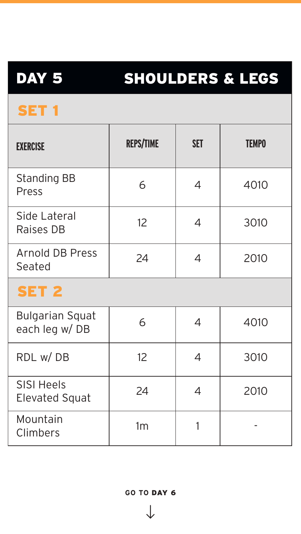$\sqrt{ }$ 

| DAY 5                                      | SHOULDERS & LEGS  |                        |              |  |
|--------------------------------------------|-------------------|------------------------|--------------|--|
| SET <sub>1</sub>                           |                   |                        |              |  |
| <b>EXERCISE</b>                            | <b>REPS/TIME</b>  | <b>SET</b>             | <b>TEMPO</b> |  |
| <b>Standing BB</b><br>Press                |                   | $\boldsymbol{\Lambda}$ | 4010         |  |
| Side Lateral<br><b>Raises DB</b>           | $12 \overline{ }$ |                        | 3010         |  |
| <b>Arnold DB Press</b><br>Seated           | 24                |                        | 2010         |  |
| SET 2                                      |                   |                        |              |  |
| <b>Bulgarian Squat</b><br>each leg w/DB    | 6                 | $\overline{4}$         | 4010         |  |
| RDL w/DB                                   | 12 <sup>2</sup>   | $\overline{4}$         | 3010         |  |
| <b>SISI Heels</b><br><b>Elevated Squat</b> | 24                | $\overline{4}$         | 2010         |  |
| Mountain<br>Climbers                       | 1m                |                        |              |  |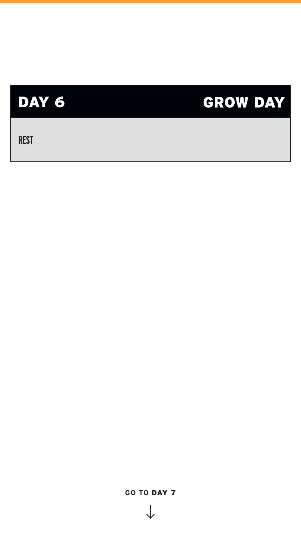#### **GO TO** DAY 7

 $\sqrt{ }$ 

 **REST**

### DAY 6

## GROW DAY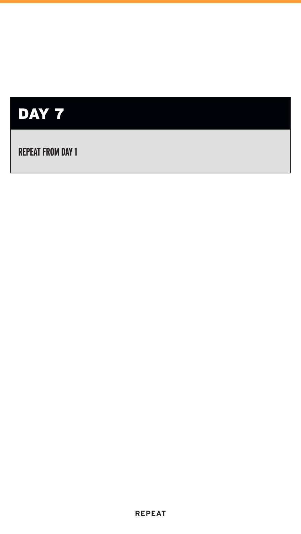



#### **REPEAT FROM DAY 1**